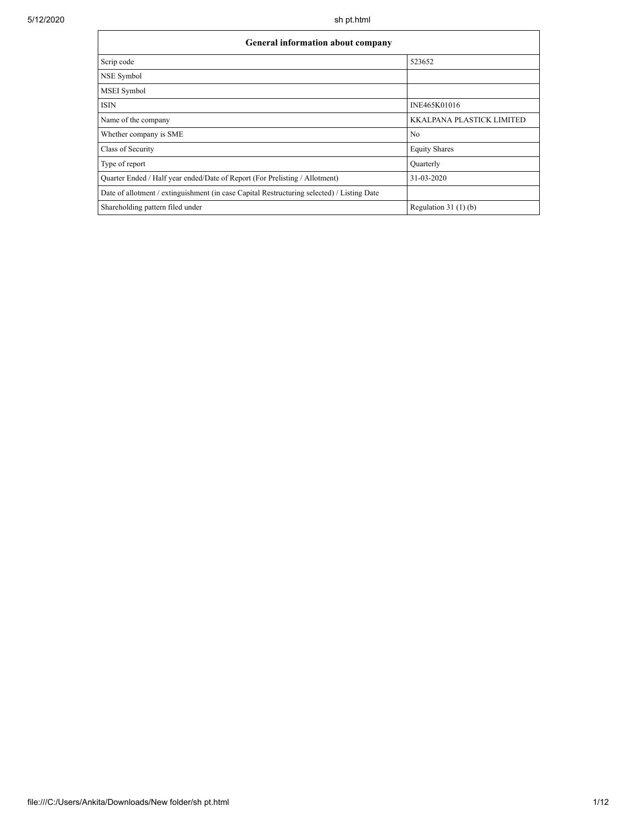| <b>General information about company</b>                                                   |                                  |  |  |  |  |  |
|--------------------------------------------------------------------------------------------|----------------------------------|--|--|--|--|--|
| Scrip code                                                                                 | 523652                           |  |  |  |  |  |
| NSE Symbol                                                                                 |                                  |  |  |  |  |  |
| <b>MSEI</b> Symbol                                                                         |                                  |  |  |  |  |  |
| <b>ISIN</b>                                                                                | INE465K01016                     |  |  |  |  |  |
| Name of the company                                                                        | <b>KKALPANA PLASTICK LIMITED</b> |  |  |  |  |  |
| Whether company is SME                                                                     | No                               |  |  |  |  |  |
| Class of Security                                                                          | <b>Equity Shares</b>             |  |  |  |  |  |
| Type of report                                                                             | Quarterly                        |  |  |  |  |  |
| Quarter Ended / Half year ended/Date of Report (For Prelisting / Allotment)                | 31-03-2020                       |  |  |  |  |  |
| Date of allotment / extinguishment (in case Capital Restructuring selected) / Listing Date |                                  |  |  |  |  |  |
| Shareholding pattern filed under                                                           | Regulation $31(1)(b)$            |  |  |  |  |  |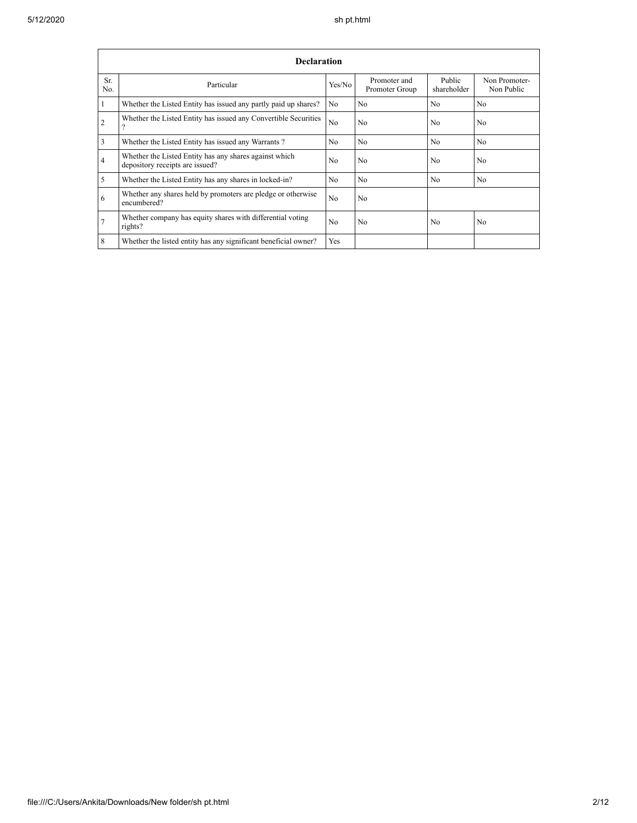|                | <b>Declaration</b>                                                                        |                |                                |                       |                             |  |  |  |
|----------------|-------------------------------------------------------------------------------------------|----------------|--------------------------------|-----------------------|-----------------------------|--|--|--|
| Sr.<br>No.     | Particular                                                                                | Yes/No         | Promoter and<br>Promoter Group | Public<br>shareholder | Non Promoter-<br>Non Public |  |  |  |
| $\overline{1}$ | Whether the Listed Entity has issued any partly paid up shares?                           | No.            | No                             | N <sub>o</sub>        | N <sub>o</sub>              |  |  |  |
| $\overline{2}$ | Whether the Listed Entity has issued any Convertible Securities<br>9                      | N <sub>0</sub> | No                             | N <sub>0</sub>        | No.                         |  |  |  |
| $\overline{3}$ | Whether the Listed Entity has issued any Warrants?                                        | N <sub>0</sub> | No                             | N <sub>o</sub>        | N <sub>o</sub>              |  |  |  |
| $\overline{4}$ | Whether the Listed Entity has any shares against which<br>depository receipts are issued? | No             | N <sub>0</sub>                 | N <sub>0</sub>        | N <sub>0</sub>              |  |  |  |
| $\overline{5}$ | Whether the Listed Entity has any shares in locked-in?                                    | N <sub>0</sub> | N <sub>0</sub>                 | N <sub>0</sub>        | No.                         |  |  |  |
| 6              | Whether any shares held by promoters are pledge or otherwise<br>encumbered?               | N <sub>0</sub> | No                             |                       |                             |  |  |  |
| 7              | Whether company has equity shares with differential voting<br>rights?                     | N <sub>0</sub> | No                             | No                    | No                          |  |  |  |
| 8              | Whether the listed entity has any significant beneficial owner?                           | Yes            |                                |                       |                             |  |  |  |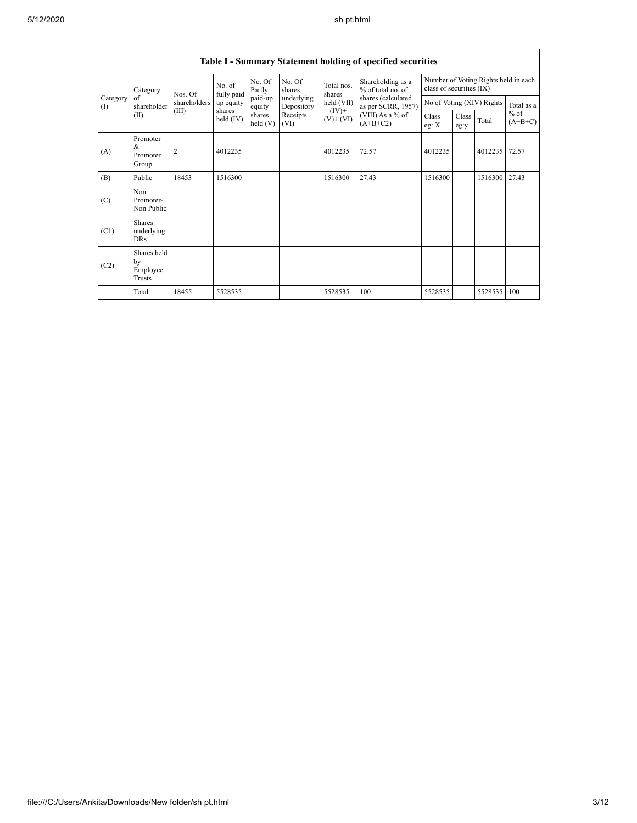|                   |                                                                                                                                                |                |                      |                   |                                                 |                                          | Table I - Summary Statement holding of specified securities      |         |                           |            |       |
|-------------------|------------------------------------------------------------------------------------------------------------------------------------------------|----------------|----------------------|-------------------|-------------------------------------------------|------------------------------------------|------------------------------------------------------------------|---------|---------------------------|------------|-------|
|                   | No. of<br>Category<br>Nos. Of                                                                                                                  |                | fully paid           | No. Of<br>Partly  | No. Of<br>Total nos.<br>shares<br>shares        | Shareholding as a<br>% of total no. of   | Number of Voting Rights held in each<br>class of securities (IX) |         |                           |            |       |
| Category<br>$($ I | of<br>shareholder                                                                                                                              | shareholders   | up equity<br>shares  | paid-up<br>equity | underlying<br>$\text{held (VII)}$<br>Depository | shares (calculated<br>as per SCRR, 1957) |                                                                  |         | No of Voting (XIV) Rights | Total as a |       |
|                   | $= (\text{IV})^+$<br>(III)<br>(VIII) As a % of<br>(II)<br>shares<br>Receipts<br>held $(IV)$<br>$(V)$ + $(VI)$<br>held(V)<br>$(A+B+C2)$<br>(VI) | Class<br>eg: X | <b>Class</b><br>eg:y | Total             | $%$ of<br>$(A+B+C)$                             |                                          |                                                                  |         |                           |            |       |
| (A)               | Promoter<br>$\&$<br>Promoter<br>Group                                                                                                          | $\overline{2}$ | 4012235              |                   |                                                 | 4012235                                  | 72.57                                                            | 4012235 |                           | 4012235    | 72.57 |
| (B)               | Public                                                                                                                                         | 18453          | 1516300              |                   |                                                 | 1516300                                  | 27.43                                                            | 1516300 |                           | 1516300    | 27.43 |
| (C)               | Non<br>Promoter-<br>Non Public                                                                                                                 |                |                      |                   |                                                 |                                          |                                                                  |         |                           |            |       |
| (C1)              | <b>Shares</b><br>underlying<br><b>DRs</b>                                                                                                      |                |                      |                   |                                                 |                                          |                                                                  |         |                           |            |       |
| (C2)              | Shares held<br>by<br>Employee<br>Trusts                                                                                                        |                |                      |                   |                                                 |                                          |                                                                  |         |                           |            |       |
|                   | Total                                                                                                                                          | 18455          | 5528535              |                   |                                                 | 5528535                                  | 100                                                              | 5528535 |                           | 5528535    | 100   |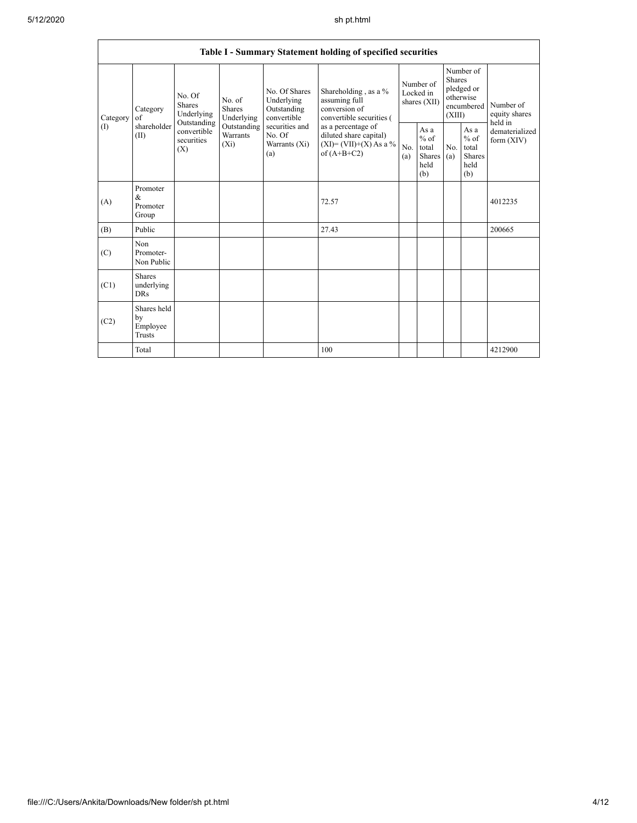|                 |                                                                         |                                                                                                                                              |                                                                                                               |                                                                                                                                                                                      | Table I - Summary Statement holding of specified securities |                                                  |                                                                               |                                                         |                                       |         |
|-----------------|-------------------------------------------------------------------------|----------------------------------------------------------------------------------------------------------------------------------------------|---------------------------------------------------------------------------------------------------------------|--------------------------------------------------------------------------------------------------------------------------------------------------------------------------------------|-------------------------------------------------------------|--------------------------------------------------|-------------------------------------------------------------------------------|---------------------------------------------------------|---------------------------------------|---------|
| Category<br>(1) | No. Of<br><b>Shares</b><br>Category<br>of<br>shareholder<br>(II)<br>(X) | No. of<br><b>Shares</b><br>Underlying<br>Underlying<br>Outstanding<br>Outstanding<br>convertible<br><b>Warrants</b><br>securities<br>$(X_i)$ | No. Of Shares<br>Underlying<br>Outstanding<br>convertible<br>securities and<br>No. Of<br>Warrants (Xi)<br>(a) | Shareholding , as a $\%$<br>assuming full<br>conversion of<br>convertible securities (<br>as a percentage of<br>diluted share capital)<br>$(XI) = (VII)+(X) As a %$<br>of $(A+B+C2)$ | Number of<br>Locked in<br>shares (XII)                      |                                                  | Number of<br><b>Shares</b><br>pledged or<br>otherwise<br>encumbered<br>(XIII) |                                                         | Number of<br>equity shares<br>held in |         |
|                 |                                                                         |                                                                                                                                              |                                                                                                               |                                                                                                                                                                                      | No.<br>(a)                                                  | As a<br>$%$ of<br>total<br>Shares<br>held<br>(b) | No.<br>(a)                                                                    | As a<br>$%$ of<br>total<br><b>Shares</b><br>held<br>(b) | dematerialized<br>form $(XIV)$        |         |
| (A)             | Promoter<br>$\&$<br>Promoter<br>Group                                   |                                                                                                                                              |                                                                                                               |                                                                                                                                                                                      | 72.57                                                       |                                                  |                                                                               |                                                         |                                       | 4012235 |
| (B)             | Public                                                                  |                                                                                                                                              |                                                                                                               |                                                                                                                                                                                      | 27.43                                                       |                                                  |                                                                               |                                                         |                                       | 200665  |
| (C)             | Non<br>Promoter-<br>Non Public                                          |                                                                                                                                              |                                                                                                               |                                                                                                                                                                                      |                                                             |                                                  |                                                                               |                                                         |                                       |         |
| (C1)            | Shares<br>underlying<br><b>DRs</b>                                      |                                                                                                                                              |                                                                                                               |                                                                                                                                                                                      |                                                             |                                                  |                                                                               |                                                         |                                       |         |
| (C2)            | Shares held<br>by<br>Employee<br><b>Trusts</b>                          |                                                                                                                                              |                                                                                                               |                                                                                                                                                                                      |                                                             |                                                  |                                                                               |                                                         |                                       |         |
|                 | Total                                                                   |                                                                                                                                              |                                                                                                               |                                                                                                                                                                                      | 100                                                         |                                                  |                                                                               |                                                         |                                       | 4212900 |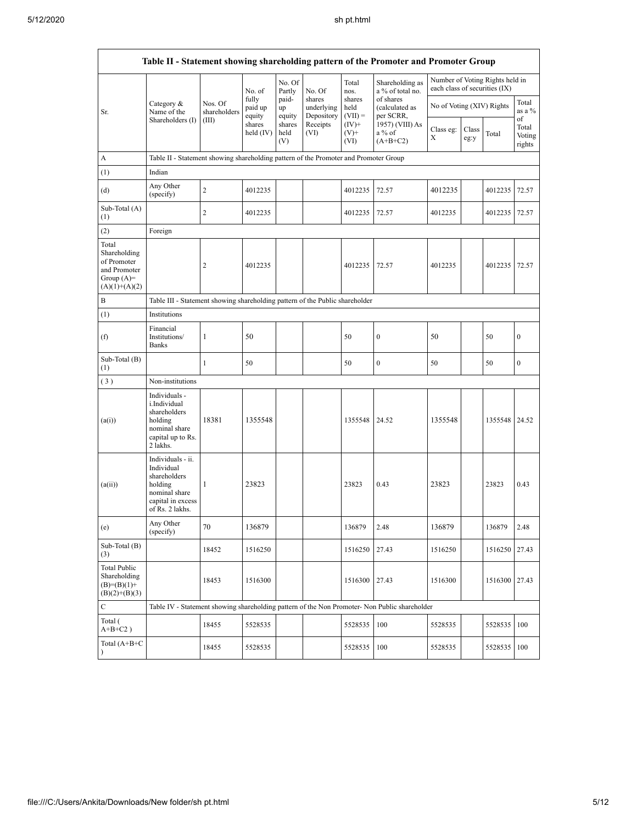|                                                                                          |                                                                                                                     |                         |                            |                       |                                    |                             | Table II - Statement showing shareholding pattern of the Promoter and Promoter Group          |                               |               |                                 |                                 |
|------------------------------------------------------------------------------------------|---------------------------------------------------------------------------------------------------------------------|-------------------------|----------------------------|-----------------------|------------------------------------|-----------------------------|-----------------------------------------------------------------------------------------------|-------------------------------|---------------|---------------------------------|---------------------------------|
|                                                                                          |                                                                                                                     |                         | No. of                     | No. Of<br>Partly      | No. Of                             | Total<br>nos.               | Shareholding as<br>a % of total no.                                                           | each class of securities (IX) |               | Number of Voting Rights held in |                                 |
| Sr.                                                                                      | Category &<br>Name of the                                                                                           | Nos. Of<br>shareholders | fully<br>paid up<br>equity | paid-<br>up<br>equity | shares<br>underlying<br>Depository | shares<br>held<br>$(VII) =$ | of shares<br>(calculated as<br>per SCRR,                                                      | No of Voting (XIV) Rights     |               |                                 | Total<br>as a %                 |
|                                                                                          | Shareholders (I)                                                                                                    | (III)                   | shares<br>held $(IV)$      | shares<br>held<br>(V) | Receipts<br>(VI)                   | $(IV)^+$<br>$(V)^+$<br>(VI) | 1957) (VIII) As<br>a % of<br>$(A+B+C2)$                                                       | Class eg:<br>Х                | Class<br>eg:y | Total                           | of<br>Total<br>Voting<br>rights |
| А                                                                                        | Table II - Statement showing shareholding pattern of the Promoter and Promoter Group                                |                         |                            |                       |                                    |                             |                                                                                               |                               |               |                                 |                                 |
| (1)                                                                                      | Indian                                                                                                              |                         |                            |                       |                                    |                             |                                                                                               |                               |               |                                 |                                 |
| (d)                                                                                      | Any Other<br>(specify)                                                                                              | $\overline{c}$          | 4012235                    |                       |                                    | 4012235                     | 72.57                                                                                         | 4012235                       |               | 4012235                         | 72.57                           |
| Sub-Total (A)<br>(1)                                                                     |                                                                                                                     | $\overline{c}$          | 4012235                    |                       |                                    | 4012235                     | 72.57                                                                                         | 4012235                       |               | 4012235                         | 72.57                           |
| (2)                                                                                      | Foreign                                                                                                             |                         |                            |                       |                                    |                             |                                                                                               |                               |               |                                 |                                 |
| Total<br>Shareholding<br>of Promoter<br>and Promoter<br>Group $(A)$ =<br>$(A)(1)+(A)(2)$ |                                                                                                                     | $\overline{2}$          | 4012235                    |                       |                                    | 4012235                     | 72.57                                                                                         | 4012235                       |               | 4012235                         | 72.57                           |
| B                                                                                        | Table III - Statement showing shareholding pattern of the Public shareholder                                        |                         |                            |                       |                                    |                             |                                                                                               |                               |               |                                 |                                 |
| (1)                                                                                      | Institutions                                                                                                        |                         |                            |                       |                                    |                             |                                                                                               |                               |               |                                 |                                 |
| (f)                                                                                      | Financial<br>Institutions/<br><b>Banks</b>                                                                          | 1                       | 50                         |                       |                                    | 50                          | $\boldsymbol{0}$                                                                              | 50                            |               | 50                              | $\boldsymbol{0}$                |
| Sub-Total (B)<br>(1)                                                                     |                                                                                                                     | 1                       | 50                         |                       |                                    | 50                          | $\boldsymbol{0}$                                                                              | 50                            |               | 50                              | $\boldsymbol{0}$                |
| (3)                                                                                      | Non-institutions                                                                                                    |                         |                            |                       |                                    |                             |                                                                                               |                               |               |                                 |                                 |
| (a(i))                                                                                   | Individuals -<br>i.Individual<br>shareholders<br>holding<br>nominal share<br>capital up to Rs.<br>2 lakhs.          | 18381                   | 1355548                    |                       |                                    | 1355548                     | 24.52                                                                                         | 1355548                       |               | 1355548 24.52                   |                                 |
| (a(ii))                                                                                  | Individuals - ii.<br>Individual<br>shareholders<br>holding<br>nominal share<br>capital in excess<br>of Rs. 2 lakhs. | $\mathbf{1}$            | 23823                      |                       |                                    | 23823                       | 0.43                                                                                          | 23823                         |               | 23823                           | 0.43                            |
| (e)                                                                                      | Any Other<br>(specify)                                                                                              | 70                      | 136879                     |                       |                                    | 136879                      | 2.48                                                                                          | 136879                        |               | 136879                          | 2.48                            |
| Sub-Total (B)<br>(3)                                                                     |                                                                                                                     | 18452                   | 1516250                    |                       |                                    | 1516250                     | 27.43                                                                                         | 1516250                       |               | 1516250 27.43                   |                                 |
| <b>Total Public</b><br>Shareholding<br>$(B)= (B)(1) +$<br>$(B)(2)+(B)(3)$                |                                                                                                                     | 18453                   | 1516300                    |                       |                                    | 1516300                     | 27.43                                                                                         | 1516300                       |               | 1516300 27.43                   |                                 |
| С                                                                                        |                                                                                                                     |                         |                            |                       |                                    |                             | Table IV - Statement showing shareholding pattern of the Non Promoter- Non Public shareholder |                               |               |                                 |                                 |
| Total (<br>$A+B+C2$ )                                                                    |                                                                                                                     | 18455                   | 5528535                    |                       |                                    | 5528535                     | 100                                                                                           | 5528535                       |               | 5528535                         | 100                             |
| Total $(A+B+C)$                                                                          |                                                                                                                     | 18455                   | 5528535                    |                       |                                    | 5528535                     | 100                                                                                           | 5528535                       |               | 5528535 100                     |                                 |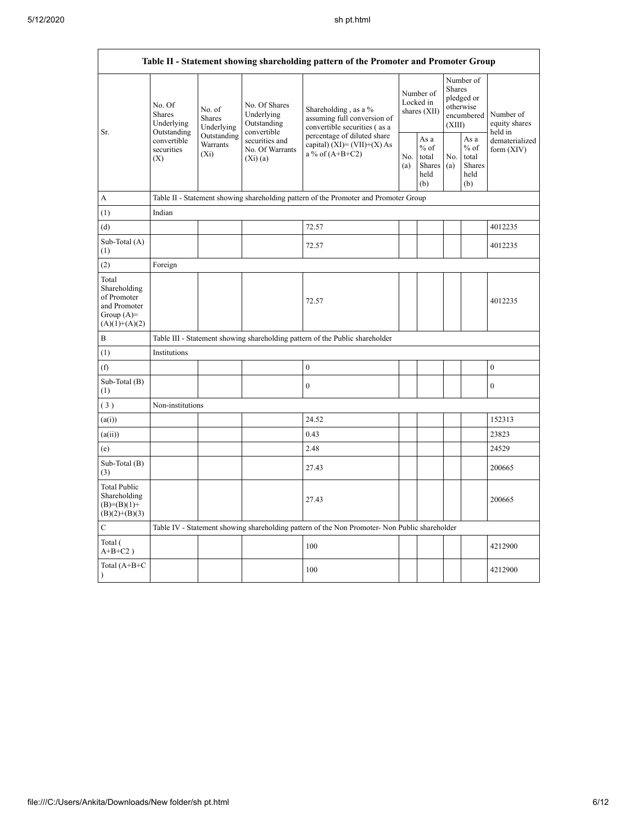$\mathsf{r}$ 

|                                                                                         | Table II - Statement showing shareholding pattern of the Promoter and Promoter Group   |                                                           |                                                                                     |                                                                                               |            |                                                                               |            |                                                  |                                |
|-----------------------------------------------------------------------------------------|----------------------------------------------------------------------------------------|-----------------------------------------------------------|-------------------------------------------------------------------------------------|-----------------------------------------------------------------------------------------------|------------|-------------------------------------------------------------------------------|------------|--------------------------------------------------|--------------------------------|
| Sr.                                                                                     | No. Of<br>No. of<br><b>Shares</b><br>Shares<br>Underlying<br>Underlying<br>Outstanding | No. Of Shares<br>Underlying<br>Outstanding<br>convertible | Shareholding, as a %<br>assuming full conversion of<br>convertible securities (as a | Number of<br>Locked in<br>shares (XII)                                                        |            | Number of<br><b>Shares</b><br>pledged or<br>otherwise<br>encumbered<br>(XIII) |            | Number of<br>equity shares<br>held in            |                                |
|                                                                                         | convertible<br>securities<br>(X)                                                       | Outstanding<br>Warrants<br>$(X_i)$                        | securities and<br>No. Of Warrants<br>$(X_i)(a)$                                     | percentage of diluted share<br>capital) (XI)= $(VII)+(X)$ As<br>a % of $(A+B+C2)$             | No.<br>(a) | As a<br>$%$ of<br>total<br>Shares<br>held<br>(b)                              | No.<br>(a) | As a<br>$%$ of<br>total<br>Shares<br>held<br>(b) | dematerialized<br>form $(XIV)$ |
| А                                                                                       |                                                                                        |                                                           |                                                                                     | Table II - Statement showing shareholding pattern of the Promoter and Promoter Group          |            |                                                                               |            |                                                  |                                |
| (1)                                                                                     | Indian                                                                                 |                                                           |                                                                                     |                                                                                               |            |                                                                               |            |                                                  |                                |
| (d)                                                                                     |                                                                                        |                                                           |                                                                                     | 72.57                                                                                         |            |                                                                               |            |                                                  | 4012235                        |
| Sub-Total (A)<br>(1)                                                                    |                                                                                        |                                                           |                                                                                     | 72.57                                                                                         |            |                                                                               |            |                                                  | 4012235                        |
| (2)                                                                                     | Foreign                                                                                |                                                           |                                                                                     |                                                                                               |            |                                                                               |            |                                                  |                                |
| Total<br>Shareholding<br>of Promoter<br>and Promoter<br>Group $(A)=$<br>$(A)(1)+(A)(2)$ |                                                                                        |                                                           |                                                                                     | 72.57                                                                                         |            |                                                                               |            |                                                  | 4012235                        |
| B                                                                                       |                                                                                        |                                                           |                                                                                     | Table III - Statement showing shareholding pattern of the Public shareholder                  |            |                                                                               |            |                                                  |                                |
| (1)                                                                                     | Institutions                                                                           |                                                           |                                                                                     |                                                                                               |            |                                                                               |            |                                                  |                                |
| (f)                                                                                     |                                                                                        |                                                           |                                                                                     | $\mathbf{0}$                                                                                  |            |                                                                               |            |                                                  | $\boldsymbol{0}$               |
| Sub-Total (B)<br>(1)                                                                    |                                                                                        |                                                           |                                                                                     | $\theta$                                                                                      |            |                                                                               |            |                                                  | $\theta$                       |
| (3)                                                                                     | Non-institutions                                                                       |                                                           |                                                                                     |                                                                                               |            |                                                                               |            |                                                  |                                |
| (a(i))                                                                                  |                                                                                        |                                                           |                                                                                     | 24.52                                                                                         |            |                                                                               |            |                                                  | 152313                         |
| (a(ii))                                                                                 |                                                                                        |                                                           |                                                                                     | 0.43                                                                                          |            |                                                                               |            |                                                  | 23823                          |
| (e)                                                                                     |                                                                                        |                                                           |                                                                                     | 2.48                                                                                          |            |                                                                               |            |                                                  | 24529                          |
| Sub-Total (B)<br>(3)                                                                    |                                                                                        |                                                           |                                                                                     | 27.43                                                                                         |            |                                                                               |            |                                                  | 200665                         |
| <b>Total Public</b><br>Shareholding<br>$(B)=(B)(1)+$<br>$(B)(2)+(B)(3)$                 |                                                                                        |                                                           |                                                                                     | 27.43                                                                                         |            |                                                                               |            |                                                  | 200665                         |
| C                                                                                       |                                                                                        |                                                           |                                                                                     | Table IV - Statement showing shareholding pattern of the Non Promoter- Non Public shareholder |            |                                                                               |            |                                                  |                                |
| Total (<br>$A+B+C2$ )                                                                   |                                                                                        |                                                           |                                                                                     | 100                                                                                           |            |                                                                               |            |                                                  | 4212900                        |
| Total (A+B+C<br>$\lambda$                                                               |                                                                                        |                                                           |                                                                                     | 100                                                                                           |            |                                                                               |            |                                                  | 4212900                        |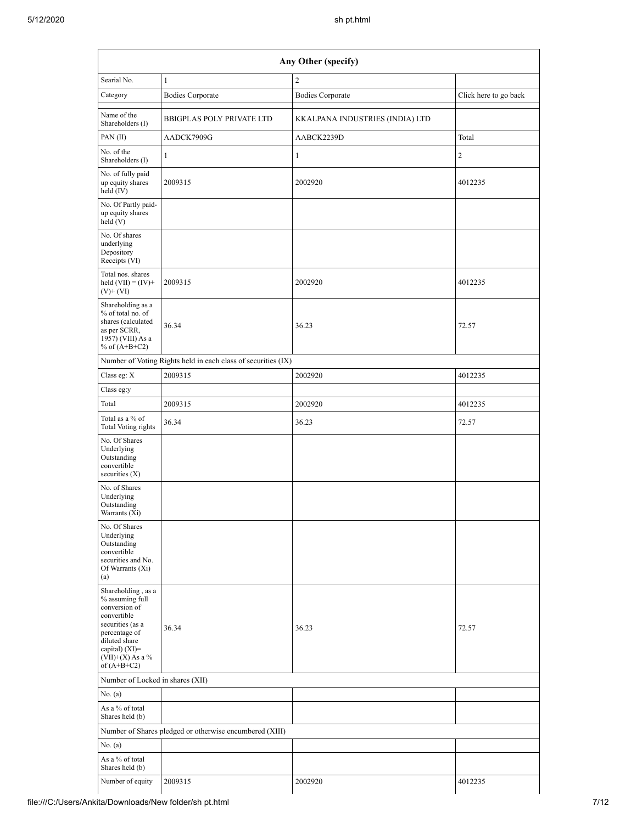| Any Other (specify)                                                                                                                                                                    |                                                               |                                 |                       |  |  |  |
|----------------------------------------------------------------------------------------------------------------------------------------------------------------------------------------|---------------------------------------------------------------|---------------------------------|-----------------------|--|--|--|
| Searial No.                                                                                                                                                                            | $\mathbf{1}$                                                  | $\overline{c}$                  |                       |  |  |  |
| Category                                                                                                                                                                               | <b>Bodies Corporate</b>                                       | <b>Bodies Corporate</b>         | Click here to go back |  |  |  |
| Name of the<br>Shareholders (I)                                                                                                                                                        | <b>BBIGPLAS POLY PRIVATE LTD</b>                              | KKALPANA INDUSTRIES (INDIA) LTD |                       |  |  |  |
| PAN (II)                                                                                                                                                                               | AADCK7909G                                                    | AABCK2239D                      | Total                 |  |  |  |
| No. of the<br>Shareholders (I)                                                                                                                                                         | $\mathbf{1}$                                                  | $\mathbf{1}$                    | $\overline{2}$        |  |  |  |
| No. of fully paid<br>up equity shares<br>held (IV)                                                                                                                                     | 2009315                                                       | 2002920                         | 4012235               |  |  |  |
| No. Of Partly paid-<br>up equity shares<br>held(V)                                                                                                                                     |                                                               |                                 |                       |  |  |  |
| No. Of shares<br>underlying<br>Depository<br>Receipts (VI)                                                                                                                             |                                                               |                                 |                       |  |  |  |
| Total nos. shares<br>held $(VII) = (IV) +$<br>$(V)$ + $(VI)$                                                                                                                           | 2009315                                                       | 2002920                         | 4012235               |  |  |  |
| Shareholding as a<br>% of total no. of<br>shares (calculated<br>as per SCRR,<br>1957) (VIII) As a<br>% of $(A+B+C2)$                                                                   | 36.34                                                         | 36.23                           | 72.57                 |  |  |  |
|                                                                                                                                                                                        | Number of Voting Rights held in each class of securities (IX) |                                 |                       |  |  |  |
| Class eg: X                                                                                                                                                                            | 2009315                                                       | 2002920                         | 4012235               |  |  |  |
| Class eg:y                                                                                                                                                                             |                                                               |                                 |                       |  |  |  |
| Total                                                                                                                                                                                  | 2009315                                                       | 2002920                         | 4012235               |  |  |  |
| Total as a % of<br>Total Voting rights                                                                                                                                                 | 36.34                                                         | 36.23                           | 72.57                 |  |  |  |
| No. Of Shares<br>Underlying<br>Outstanding<br>convertible<br>securities (X)                                                                                                            |                                                               |                                 |                       |  |  |  |
| No. of Shares<br>Underlying<br>Outstanding<br>Warrants (Xi)                                                                                                                            |                                                               |                                 |                       |  |  |  |
| No. Of Shares<br>Underlying<br>Outstanding<br>convertible<br>securities and No.<br>Of Warrants (Xi)<br>(a)                                                                             |                                                               |                                 |                       |  |  |  |
| Shareholding, as a<br>% assuming full<br>conversion of<br>convertible<br>securities (as a<br>percentage of<br>diluted share<br>capital) $(XI)=$<br>$(VII)+(X)$ As a %<br>of $(A+B+C2)$ | 36.34                                                         | 36.23                           | 72.57                 |  |  |  |
| Number of Locked in shares (XII)                                                                                                                                                       |                                                               |                                 |                       |  |  |  |
| No. (a)                                                                                                                                                                                |                                                               |                                 |                       |  |  |  |
| As a % of total<br>Shares held (b)                                                                                                                                                     |                                                               |                                 |                       |  |  |  |
|                                                                                                                                                                                        | Number of Shares pledged or otherwise encumbered (XIII)       |                                 |                       |  |  |  |
| No. (a)                                                                                                                                                                                |                                                               |                                 |                       |  |  |  |
| As a % of total<br>Shares held (b)                                                                                                                                                     |                                                               |                                 |                       |  |  |  |
| Number of equity                                                                                                                                                                       | 2009315                                                       | 2002920                         | 4012235               |  |  |  |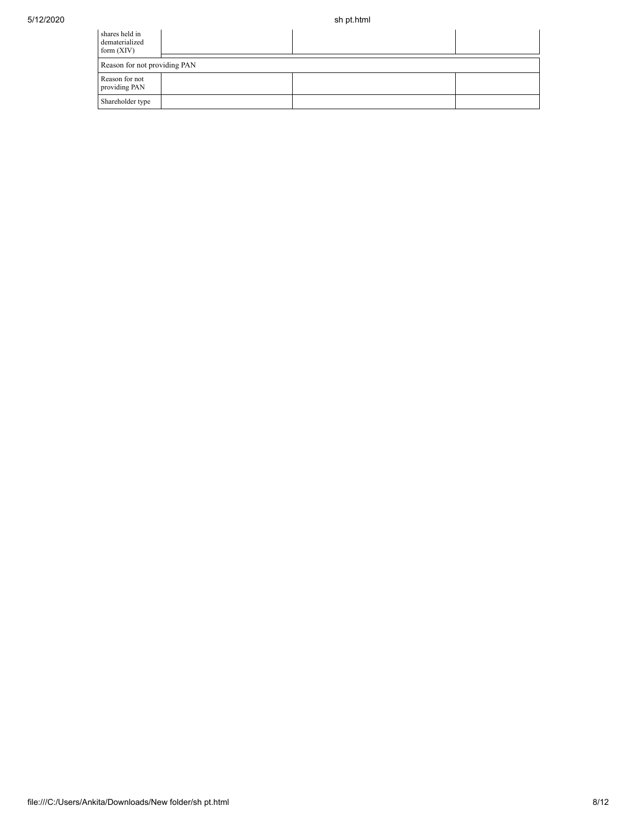| shares held in<br>dematerialized<br>form $(XIV)$ |  |  |
|--------------------------------------------------|--|--|
| Reason for not providing PAN                     |  |  |
| Reason for not<br>providing PAN                  |  |  |
| Shareholder type                                 |  |  |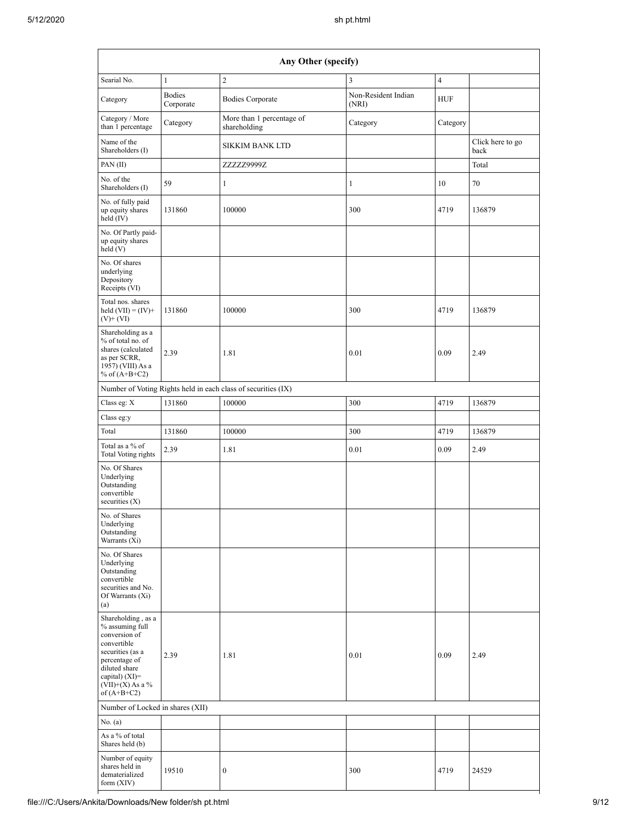|                                                                                                                                                                                                       | Any Other (specify)        |                                                               |                              |                |                          |  |  |
|-------------------------------------------------------------------------------------------------------------------------------------------------------------------------------------------------------|----------------------------|---------------------------------------------------------------|------------------------------|----------------|--------------------------|--|--|
| Searial No.                                                                                                                                                                                           | $\mathbf{1}$               | $\overline{2}$                                                | 3                            | $\overline{4}$ |                          |  |  |
| Category                                                                                                                                                                                              | <b>Bodies</b><br>Corporate | <b>Bodies Corporate</b>                                       | Non-Resident Indian<br>(NRI) | <b>HUF</b>     |                          |  |  |
| Category / More<br>than 1 percentage                                                                                                                                                                  | Category                   | More than 1 percentage of<br>shareholding                     | Category                     | Category       |                          |  |  |
| Name of the<br>Shareholders (I)                                                                                                                                                                       |                            | <b>SIKKIM BANK LTD</b>                                        |                              |                | Click here to go<br>back |  |  |
| PAN(II)                                                                                                                                                                                               |                            | ZZZZZ9999Z                                                    |                              |                | Total                    |  |  |
| No. of the<br>Shareholders (I)                                                                                                                                                                        | 59                         | 1                                                             | $\mathbf{1}$                 | 10             | 70                       |  |  |
| No. of fully paid<br>up equity shares<br>held $(IV)$                                                                                                                                                  | 131860                     | 100000                                                        | 300                          | 4719           | 136879                   |  |  |
| No. Of Partly paid-<br>up equity shares<br>held (V)                                                                                                                                                   |                            |                                                               |                              |                |                          |  |  |
| No. Of shares<br>underlying<br>Depository<br>Receipts (VI)                                                                                                                                            |                            |                                                               |                              |                |                          |  |  |
| Total nos. shares<br>held $(VII) = (IV) +$<br>$(V)$ + $(VI)$                                                                                                                                          | 131860                     | 100000                                                        | 300                          | 4719           | 136879                   |  |  |
| Shareholding as a<br>% of total no. of<br>shares (calculated<br>as per SCRR,<br>1957) (VIII) As a<br>% of $(A+B+C2)$                                                                                  | 2.39                       | 1.81                                                          | 0.01                         | 0.09           | 2.49                     |  |  |
|                                                                                                                                                                                                       |                            | Number of Voting Rights held in each class of securities (IX) |                              |                |                          |  |  |
| Class eg: X                                                                                                                                                                                           | 131860                     | 100000                                                        | 300                          | 4719           | 136879                   |  |  |
| Class eg:y                                                                                                                                                                                            |                            |                                                               |                              |                |                          |  |  |
| Total                                                                                                                                                                                                 | 131860                     | 100000                                                        | 300                          | 4719           | 136879                   |  |  |
| Total as a % of<br><b>Total Voting rights</b>                                                                                                                                                         | 2.39                       | 1.81                                                          | 0.01                         | 0.09           | 2.49                     |  |  |
| No. Of Shares<br>Underlying<br>Outstanding<br>convertible<br>securities $(X)$                                                                                                                         |                            |                                                               |                              |                |                          |  |  |
| No. of Shares<br>Underlying<br>Outstanding<br>Warrants (Xi)                                                                                                                                           |                            |                                                               |                              |                |                          |  |  |
| No. Of Shares<br>Underlying<br>Outstanding<br>convertible<br>securities and No.<br>Of Warrants (Xi)<br>(a)                                                                                            |                            |                                                               |                              |                |                          |  |  |
| Shareholding, as a<br>% assuming full<br>conversion of<br>convertible<br>securities (as a<br>percentage of<br>diluted share<br>capital) (XI)=<br>$({\rm VII}){+}({\rm X})$ As a $\%$<br>of $(A+B+C2)$ | 2.39                       | 1.81                                                          | 0.01                         | 0.09           | 2.49                     |  |  |
| Number of Locked in shares (XII)                                                                                                                                                                      |                            |                                                               |                              |                |                          |  |  |
| No. (a)                                                                                                                                                                                               |                            |                                                               |                              |                |                          |  |  |
| As a % of total<br>Shares held (b)                                                                                                                                                                    |                            |                                                               |                              |                |                          |  |  |
| Number of equity<br>shares held in<br>dematerialized<br>form $(XIV)$                                                                                                                                  | 19510                      | $\boldsymbol{0}$                                              | 300                          | 4719           | 24529                    |  |  |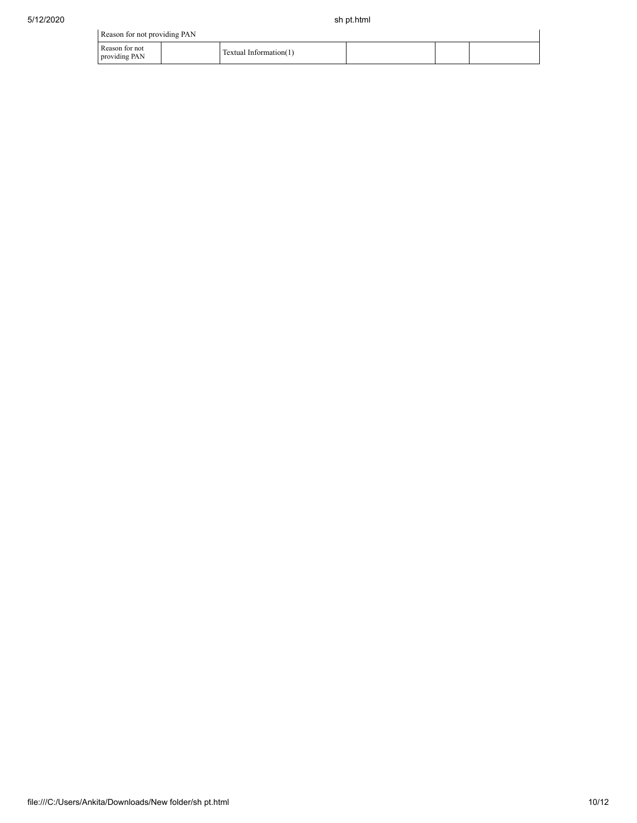|                                 | Reason for not providing PAN |                        |  |  |  |  |  |  |  |  |
|---------------------------------|------------------------------|------------------------|--|--|--|--|--|--|--|--|
| Reason for not<br>providing PAN |                              | Textual Information(1) |  |  |  |  |  |  |  |  |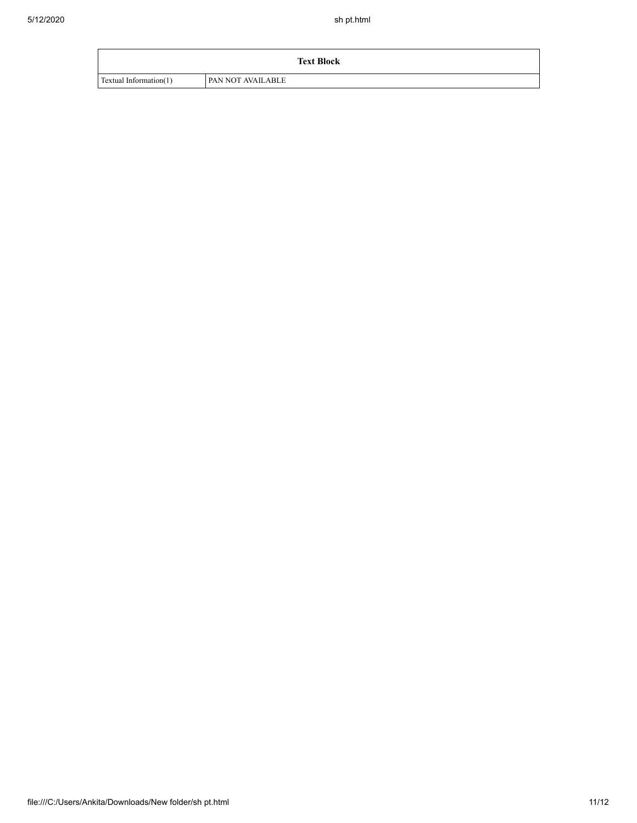|                        | <b>Text Block</b>        |
|------------------------|--------------------------|
| Textual Information(1) | <b>PAN NOT AVAILABLE</b> |